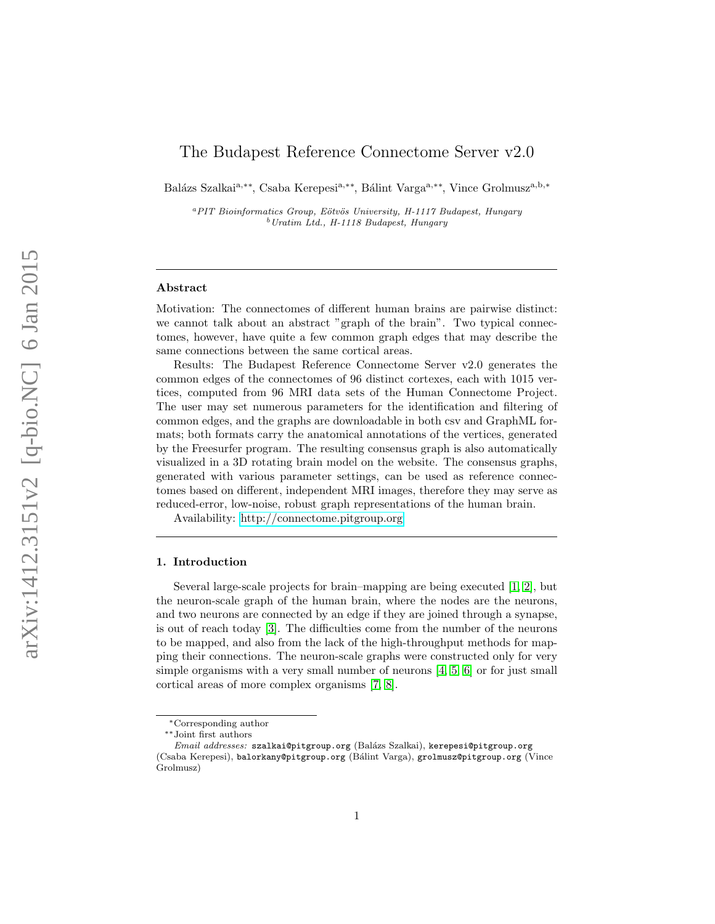# The Budapest Reference Connectome Server v2.0

Balázs Szalkai<sup>a,∗∗</sup>, Csaba Kerepesi<sup>a,∗∗</sup>, Bálint Varga<sup>a,∗∗</sup>, Vince Grolmusz<sup>a,b,∗</sup>

<sup>a</sup>PIT Bioinformatics Group, Eötvös University, H-1117 Budapest, Hungary  $^{b}$  Uratim Ltd., H-1118 Budapest, Hungary

#### Abstract

Motivation: The connectomes of different human brains are pairwise distinct: we cannot talk about an abstract "graph of the brain". Two typical connectomes, however, have quite a few common graph edges that may describe the same connections between the same cortical areas.

Results: The Budapest Reference Connectome Server v2.0 generates the common edges of the connectomes of 96 distinct cortexes, each with 1015 vertices, computed from 96 MRI data sets of the Human Connectome Project. The user may set numerous parameters for the identification and filtering of common edges, and the graphs are downloadable in both csv and GraphML formats; both formats carry the anatomical annotations of the vertices, generated by the Freesurfer program. The resulting consensus graph is also automatically visualized in a 3D rotating brain model on the website. The consensus graphs, generated with various parameter settings, can be used as reference connectomes based on different, independent MRI images, therefore they may serve as reduced-error, low-noise, robust graph representations of the human brain.

Availability:<http://connectome.pitgroup.org>

### 1. Introduction

Several large-scale projects for brain–mapping are being executed [\[1,](#page-4-0) [2\]](#page-4-1), but the neuron-scale graph of the human brain, where the nodes are the neurons, and two neurons are connected by an edge if they are joined through a synapse, is out of reach today [\[3\]](#page-5-0). The difficulties come from the number of the neurons to be mapped, and also from the lack of the high-throughput methods for mapping their connections. The neuron-scale graphs were constructed only for very simple organisms with a very small number of neurons  $[4, 5, 6]$  $[4, 5, 6]$  $[4, 5, 6]$  or for just small cortical areas of more complex organisms [\[7,](#page-5-4) [8\]](#page-5-5).

<sup>∗</sup>Corresponding author

<sup>∗∗</sup>Joint first authors

Email addresses: szalkai@pitgroup.org (Balázs Szalkai), kerepesi@pitgroup.org (Csaba Kerepesi), balorkany@pitgroup.org (B´alint Varga), grolmusz@pitgroup.org (Vince Grolmusz)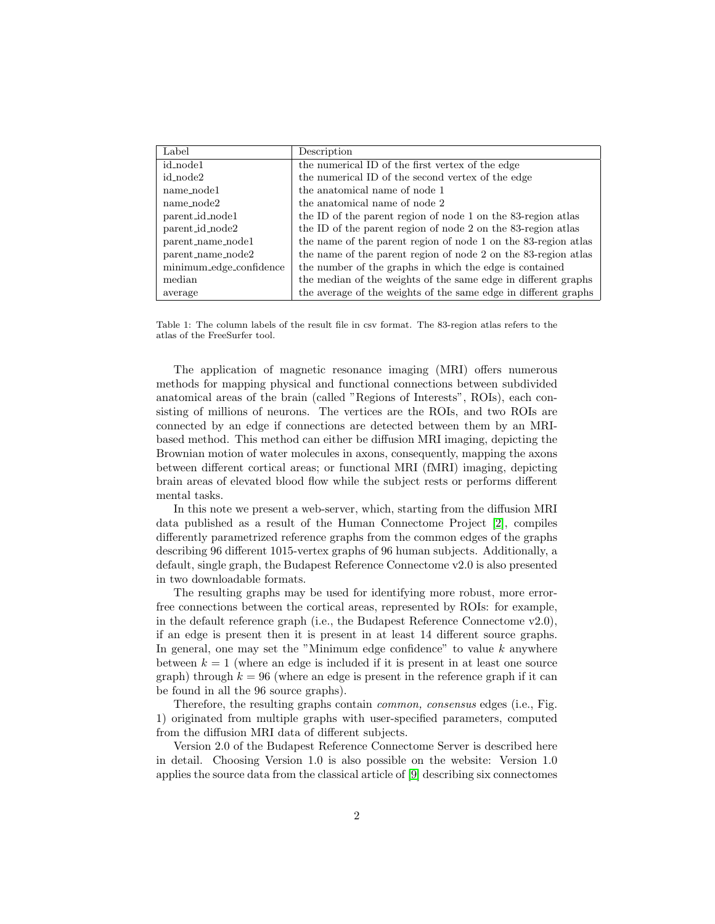| Label                   | Description                                                     |
|-------------------------|-----------------------------------------------------------------|
| id_node1                | the numerical ID of the first vertex of the edge                |
| id_node2                | the numerical ID of the second vertex of the edge               |
| name_node1              | the anatomical name of node 1                                   |
| name_node2              | the anatomical name of node 2                                   |
| parent_id_node1         | the ID of the parent region of node 1 on the 83-region atlas    |
| parent_id_node2         | the ID of the parent region of node 2 on the 83-region atlas    |
| parent_name_node1       | the name of the parent region of node 1 on the 83-region atlas  |
| parent_name_node2       | the name of the parent region of node 2 on the 83-region atlas  |
| minimum_edge_confidence | the number of the graphs in which the edge is contained         |
| median                  | the median of the weights of the same edge in different graphs  |
| average                 | the average of the weights of the same edge in different graphs |

Table 1: The column labels of the result file in csv format. The 83-region atlas refers to the atlas of the FreeSurfer tool.

The application of magnetic resonance imaging (MRI) offers numerous methods for mapping physical and functional connections between subdivided anatomical areas of the brain (called "Regions of Interests", ROIs), each consisting of millions of neurons. The vertices are the ROIs, and two ROIs are connected by an edge if connections are detected between them by an MRIbased method. This method can either be diffusion MRI imaging, depicting the Brownian motion of water molecules in axons, consequently, mapping the axons between different cortical areas; or functional MRI (fMRI) imaging, depicting brain areas of elevated blood flow while the subject rests or performs different mental tasks.

In this note we present a web-server, which, starting from the diffusion MRI data published as a result of the Human Connectome Project [\[2\]](#page-4-1), compiles differently parametrized reference graphs from the common edges of the graphs describing 96 different 1015-vertex graphs of 96 human subjects. Additionally, a default, single graph, the Budapest Reference Connectome v2.0 is also presented in two downloadable formats.

The resulting graphs may be used for identifying more robust, more errorfree connections between the cortical areas, represented by ROIs: for example, in the default reference graph (i.e., the Budapest Reference Connectome v2.0), if an edge is present then it is present in at least 14 different source graphs. In general, one may set the "Minimum edge confidence" to value  $k$  anywhere between  $k = 1$  (where an edge is included if it is present in at least one source graph) through  $k = 96$  (where an edge is present in the reference graph if it can be found in all the 96 source graphs).

Therefore, the resulting graphs contain common, consensus edges (i.e., Fig. 1) originated from multiple graphs with user-specified parameters, computed from the diffusion MRI data of different subjects.

Version 2.0 of the Budapest Reference Connectome Server is described here in detail. Choosing Version 1.0 is also possible on the website: Version 1.0 applies the source data from the classical article of [\[9\]](#page-5-6) describing six connectomes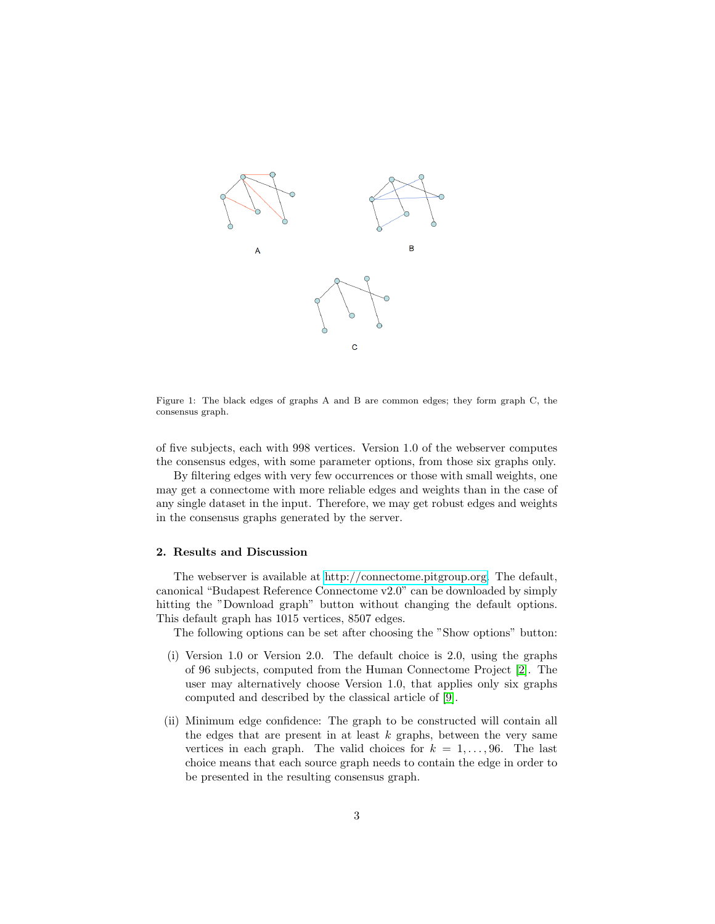

Figure 1: The black edges of graphs A and B are common edges; they form graph C, the consensus graph.

of five subjects, each with 998 vertices. Version 1.0 of the webserver computes the consensus edges, with some parameter options, from those six graphs only.

By filtering edges with very few occurrences or those with small weights, one may get a connectome with more reliable edges and weights than in the case of any single dataset in the input. Therefore, we may get robust edges and weights in the consensus graphs generated by the server.

## 2. Results and Discussion

The webserver is available at [http://connectome.pitgroup.org.](http://connectome.pitgroup.org) The default, canonical "Budapest Reference Connectome v2.0" can be downloaded by simply hitting the "Download graph" button without changing the default options. This default graph has 1015 vertices, 8507 edges.

The following options can be set after choosing the "Show options" button:

- (i) Version 1.0 or Version 2.0. The default choice is 2.0, using the graphs of 96 subjects, computed from the Human Connectome Project [\[2\]](#page-4-1). The user may alternatively choose Version 1.0, that applies only six graphs computed and described by the classical article of [\[9\]](#page-5-6).
- (ii) Minimum edge confidence: The graph to be constructed will contain all the edges that are present in at least  $k$  graphs, between the very same vertices in each graph. The valid choices for  $k = 1, \ldots, 96$ . The last choice means that each source graph needs to contain the edge in order to be presented in the resulting consensus graph.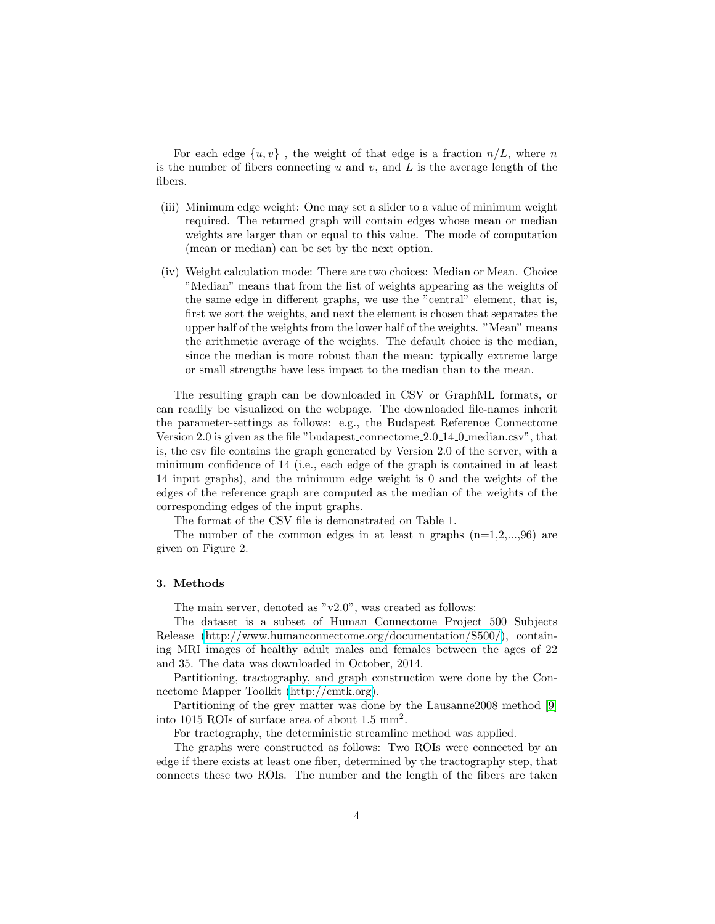For each edge  $\{u, v\}$ , the weight of that edge is a fraction  $n/L$ , where n is the number of fibers connecting  $u$  and  $v$ , and  $L$  is the average length of the fibers.

- (iii) Minimum edge weight: One may set a slider to a value of minimum weight required. The returned graph will contain edges whose mean or median weights are larger than or equal to this value. The mode of computation (mean or median) can be set by the next option.
- (iv) Weight calculation mode: There are two choices: Median or Mean. Choice "Median" means that from the list of weights appearing as the weights of the same edge in different graphs, we use the "central" element, that is, first we sort the weights, and next the element is chosen that separates the upper half of the weights from the lower half of the weights. "Mean" means the arithmetic average of the weights. The default choice is the median, since the median is more robust than the mean: typically extreme large or small strengths have less impact to the median than to the mean.

The resulting graph can be downloaded in CSV or GraphML formats, or can readily be visualized on the webpage. The downloaded file-names inherit the parameter-settings as follows: e.g., the Budapest Reference Connectome Version 2.0 is given as the file "budapest connectome 2.0 14 0 median.csv", that is, the csv file contains the graph generated by Version 2.0 of the server, with a minimum confidence of 14 (i.e., each edge of the graph is contained in at least 14 input graphs), and the minimum edge weight is 0 and the weights of the edges of the reference graph are computed as the median of the weights of the corresponding edges of the input graphs.

The format of the CSV file is demonstrated on Table 1.

The number of the common edges in at least n graphs  $(n=1,2,...,96)$  are given on Figure 2.

## 3. Methods

The main server, denoted as "v2.0", was created as follows:

The dataset is a subset of Human Connectome Project 500 Subjects Release [\(http://www.humanconnectome.org/documentation/S500/\)](http://www.humanconnectome.org/documentation/S500/), containing MRI images of healthy adult males and females between the ages of 22 and 35. The data was downloaded in October, 2014.

Partitioning, tractography, and graph construction were done by the Connectome Mapper Toolkit [\(http://cmtk.org\)](http://cmtk.org).

Partitioning of the grey matter was done by the Lausanne2008 method [\[9\]](#page-5-6) into 1015 ROIs of surface area of about 1.5 mm<sup>2</sup> .

For tractography, the deterministic streamline method was applied.

The graphs were constructed as follows: Two ROIs were connected by an edge if there exists at least one fiber, determined by the tractography step, that connects these two ROIs. The number and the length of the fibers are taken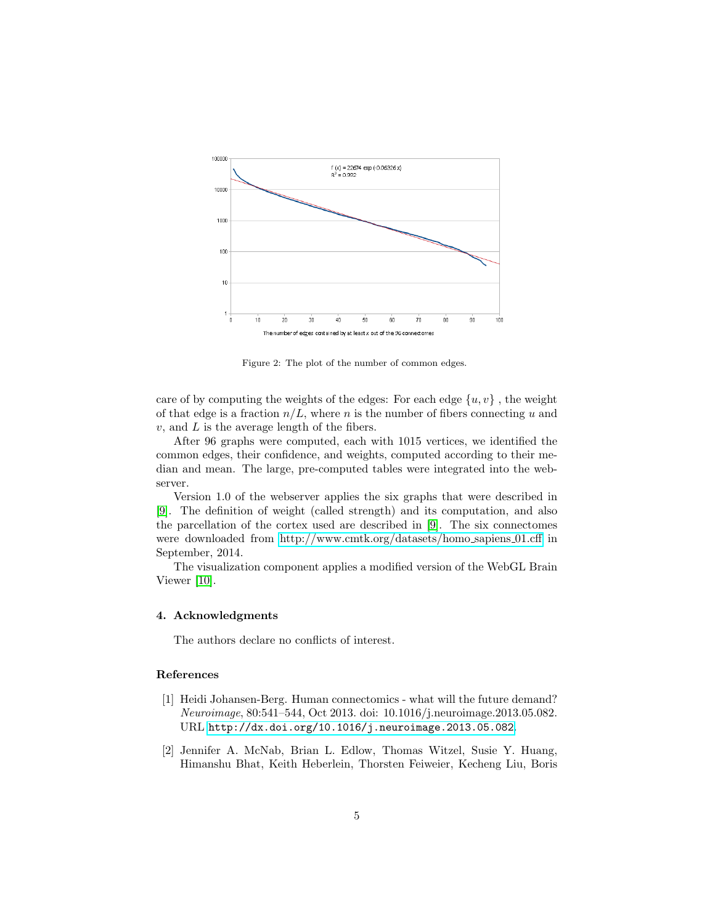

Figure 2: The plot of the number of common edges.

care of by computing the weights of the edges: For each edge  $\{u, v\}$ , the weight of that edge is a fraction  $n/L$ , where n is the number of fibers connecting u and  $v$ , and  $L$  is the average length of the fibers.

After 96 graphs were computed, each with 1015 vertices, we identified the common edges, their confidence, and weights, computed according to their median and mean. The large, pre-computed tables were integrated into the webserver.

Version 1.0 of the webserver applies the six graphs that were described in [\[9\]](#page-5-6). The definition of weight (called strength) and its computation, and also the parcellation of the cortex used are described in [\[9\]](#page-5-6). The six connectomes were downloaded from [http://www.cmtk.org/datasets/homo](http://www.cmtk.org/datasets/homo_sapiens_01.cff)\_sapiens\_01.cff in September, 2014.

The visualization component applies a modified version of the WebGL Brain Viewer [\[10\]](#page-5-7).

## 4. Acknowledgments

The authors declare no conflicts of interest.

## References

- <span id="page-4-0"></span>[1] Heidi Johansen-Berg. Human connectomics - what will the future demand? Neuroimage, 80:541–544, Oct 2013. doi: 10.1016/j.neuroimage.2013.05.082. URL <http://dx.doi.org/10.1016/j.neuroimage.2013.05.082>.
- <span id="page-4-1"></span>[2] Jennifer A. McNab, Brian L. Edlow, Thomas Witzel, Susie Y. Huang, Himanshu Bhat, Keith Heberlein, Thorsten Feiweier, Kecheng Liu, Boris